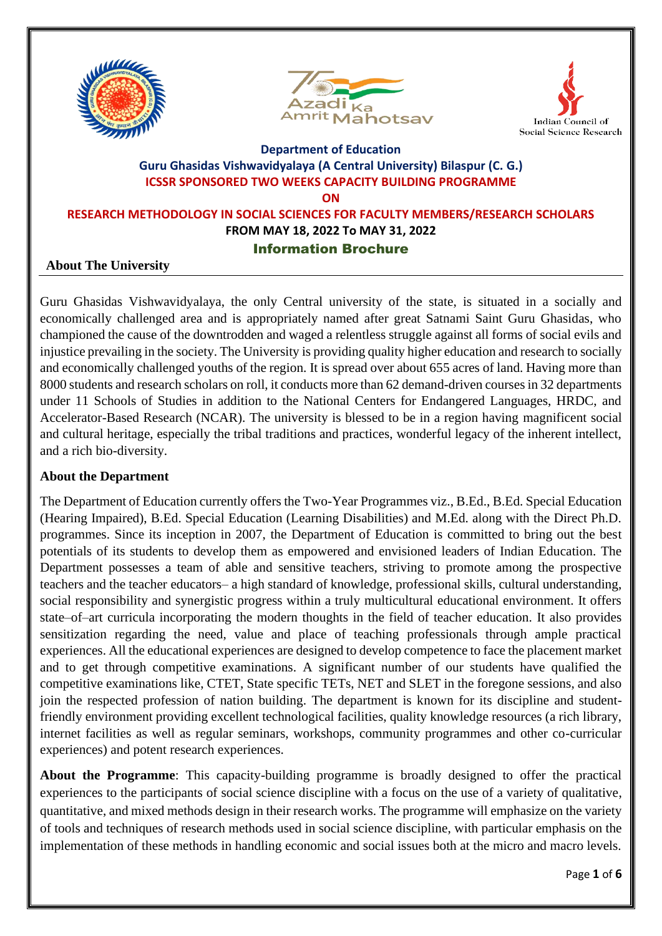





# **Department of Education Guru Ghasidas Vishwavidyalaya (A Central University) Bilaspur (C. G.) ICSSR SPONSORED TWO WEEKS CAPACITY BUILDING PROGRAMME ON**

**RESEARCH METHODOLOGY IN SOCIAL SCIENCES FOR FACULTY MEMBERS/RESEARCH SCHOLARS FROM MAY 18, 2022 To MAY 31, 2022** Information Brochure

### **About The University**

Guru Ghasidas Vishwavidyalaya, the only Central university of the state, is situated in a socially and economically challenged area and is appropriately named after great Satnami Saint Guru Ghasidas, who championed the cause of the downtrodden and waged a relentless struggle against all forms of social evils and injustice prevailing in the society. The University is providing quality higher education and research to socially and economically challenged youths of the region. It is spread over about 655 acres of land. Having more than 8000 students and research scholars on roll, it conducts more than 62 demand-driven courses in 32 departments under 11 Schools of Studies in addition to the National Centers for Endangered Languages, HRDC, and Accelerator-Based Research (NCAR). The university is blessed to be in a region having magnificent social and cultural heritage, especially the tribal traditions and practices, wonderful legacy of the inherent intellect, and a rich bio-diversity.

### **About the Department**

The Department of Education currently offers the Two-Year Programmes viz., B.Ed., B.Ed. Special Education (Hearing Impaired), B.Ed. Special Education (Learning Disabilities) and M.Ed. along with the Direct Ph.D. programmes. Since its inception in 2007, the Department of Education is committed to bring out the best potentials of its students to develop them as empowered and envisioned leaders of Indian Education. The Department possesses a team of able and sensitive teachers, striving to promote among the prospective teachers and the teacher educators– a high standard of knowledge, professional skills, cultural understanding, social responsibility and synergistic progress within a truly multicultural educational environment. It offers state–of–art curricula incorporating the modern thoughts in the field of teacher education. It also provides sensitization regarding the need, value and place of teaching professionals through ample practical experiences. All the educational experiences are designed to develop competence to face the placement market and to get through competitive examinations. A significant number of our students have qualified the competitive examinations like, CTET, State specific TETs, NET and SLET in the foregone sessions, and also join the respected profession of nation building. The department is known for its discipline and studentfriendly environment providing excellent technological facilities, quality knowledge resources (a rich library, internet facilities as well as regular seminars, workshops, community programmes and other co-curricular experiences) and potent research experiences.

**About the Programme**: This capacity-building programme is broadly designed to offer the practical experiences to the participants of social science discipline with a focus on the use of a variety of qualitative, quantitative, and mixed methods design in their research works. The programme will emphasize on the variety of tools and techniques of research methods used in social science discipline, with particular emphasis on the implementation of these methods in handling economic and social issues both at the micro and macro levels.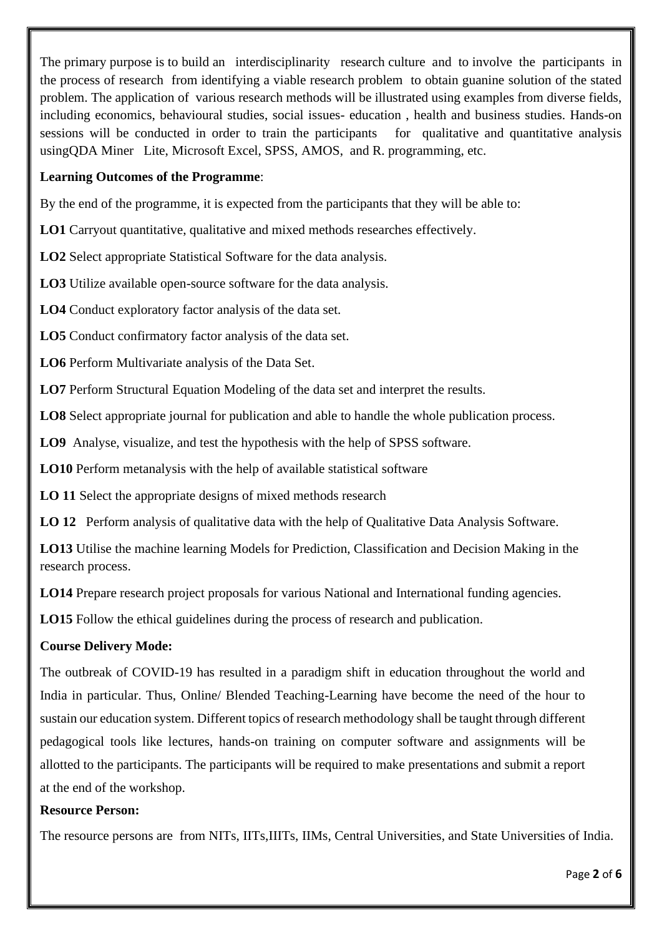The primary purpose is to build an interdisciplinarity research culture and to involve the participants in the process of research from identifying a viable research problem to obtain guanine solution of the stated problem. The application of various research methods will be illustrated using examples from diverse fields, including economics, behavioural studies, social issues- education , health and business studies. Hands-on sessions will be conducted in order to train the participants for qualitative and quantitative analysis usingQDA Miner Lite, Microsoft Excel, SPSS, AMOS, and R. programming, etc.

### **Learning Outcomes of the Programme**:

By the end of the programme, it is expected from the participants that they will be able to:

**LO1** Carryout quantitative, qualitative and mixed methods researches effectively.

**LO2** Select appropriate Statistical Software for the data analysis.

**LO3** Utilize available open-source software for the data analysis.

**LO4** Conduct exploratory factor analysis of the data set.

**LO5** Conduct confirmatory factor analysis of the data set.

**LO6** Perform Multivariate analysis of the Data Set.

**LO7** Perform Structural Equation Modeling of the data set and interpret the results.

**LO8** Select appropriate journal for publication and able to handle the whole publication process.

**LO9** Analyse, visualize, and test the hypothesis with the help of SPSS software.

**LO10** Perform metanalysis with the help of available statistical software

**LO 11** Select the appropriate designs of mixed methods research

**LO 12** Perform analysis of qualitative data with the help of Qualitative Data Analysis Software.

**LO13** Utilise the machine learning Models for Prediction, Classification and Decision Making in the research process.

**LO14** Prepare research project proposals for various National and International funding agencies.

**LO15** Follow the ethical guidelines during the process of research and publication.

### **Course Delivery Mode:**

The outbreak of COVID-19 has resulted in a paradigm shift in education throughout the world and India in particular. Thus, Online/ Blended Teaching-Learning have become the need of the hour to sustain our education system. Different topics of research methodology shall be taught through different pedagogical tools like lectures, hands-on training on computer software and assignments will be allotted to the participants. The participants will be required to make presentations and submit a report at the end of the workshop.

#### **Resource Person:**

The resource persons are from NITs, IITs,IIITs, IIMs, Central Universities, and State Universities of India.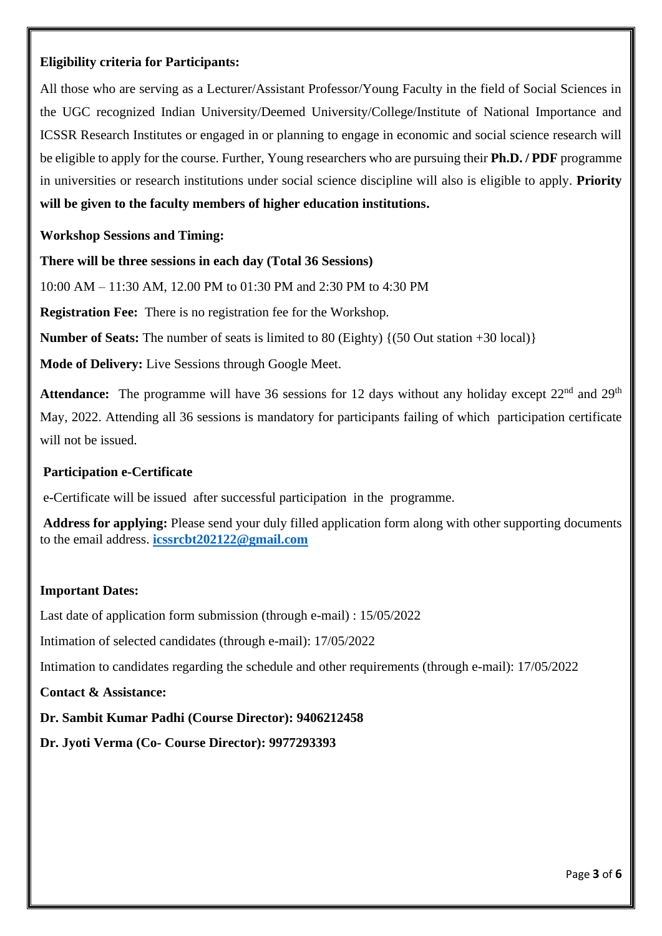### **Eligibility criteria for Participants:**

All those who are serving as a Lecturer/Assistant Professor/Young Faculty in the field of Social Sciences in the UGC recognized Indian University/Deemed University/College/Institute of National Importance and ICSSR Research Institutes or engaged in or planning to engage in economic and social science research will be eligible to apply for the course. Further, Young researchers who are pursuing their **Ph.D. / PDF** programme in universities or research institutions under social science discipline will also is eligible to apply. **Priority will be given to the faculty members of higher education institutions.**

### **Workshop Sessions and Timing:**

**There will be three sessions in each day (Total 36 Sessions)**

10:00 AM – 11:30 AM, 12.00 PM to 01:30 PM and 2:30 PM to 4:30 PM

**Registration Fee:** There is no registration fee for the Workshop.

**Number of Seats:** The number of seats is limited to 80 (Eighty) {(50 Out station +30 local)}

**Mode of Delivery:** Live Sessions through Google Meet.

Attendance: The programme will have 36 sessions for 12 days without any holiday except 22<sup>nd</sup> and 29<sup>th</sup> May, 2022. Attending all 36 sessions is mandatory for participants failing of which participation certificate will not be issued.

### **Participation e-Certificate**

e-Certificate will be issued after successful participation in the programme.

**Address for applying:** Please send your duly filled application form along with other supporting documents to the email address. **[icssrcbt202122@gmail.com](mailto:icssrcbt202122@gmail.com)**

### **Important Dates:**

Last date of application form submission (through e-mail) : 15/05/2022

Intimation of selected candidates (through e-mail): 17/05/2022

Intimation to candidates regarding the schedule and other requirements (through e-mail): 17/05/2022

**Contact & Assistance:**

**Dr. Sambit Kumar Padhi (Course Director): 9406212458**

**Dr. Jyoti Verma (Co- Course Director): 9977293393**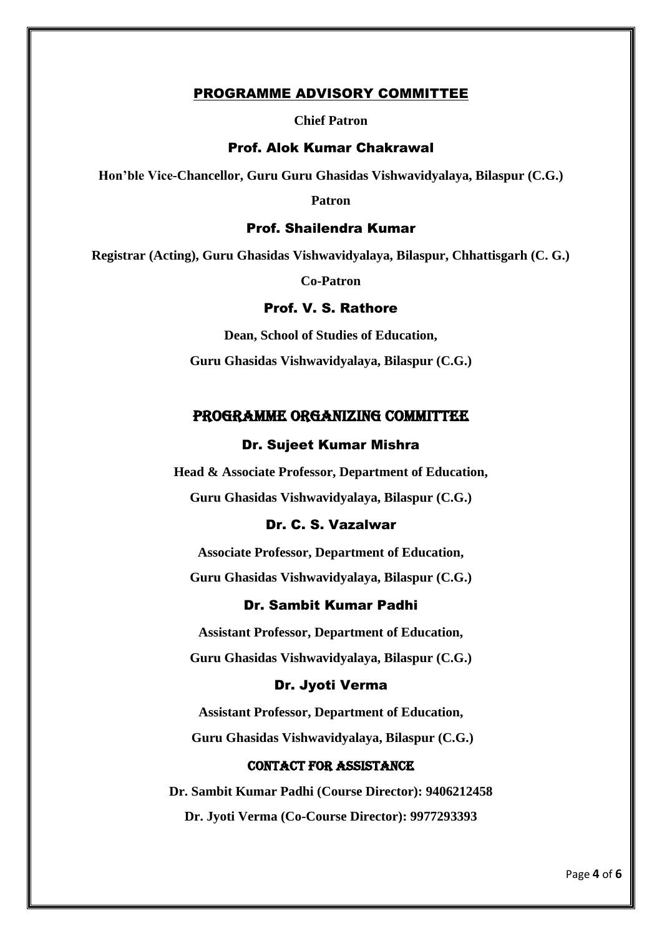#### PROGRAMME ADVISORY COMMITTEE

**Chief Patron**

#### Prof. Alok Kumar Chakrawal

**Hon'ble Vice-Chancellor, Guru Guru Ghasidas Vishwavidyalaya, Bilaspur (C.G.)**

**Patron**

#### Prof. Shailendra Kumar

**Registrar (Acting), Guru Ghasidas Vishwavidyalaya, Bilaspur, Chhattisgarh (C. G.)**

**Co-Patron**

### Prof. V. S. Rathore

**Dean, School of Studies of Education, Guru Ghasidas Vishwavidyalaya, Bilaspur (C.G.)**

#### PROGRAMME ORGANIZING COMMITTEE

#### Dr. Sujeet Kumar Mishra

**Head & Associate Professor, Department of Education, Guru Ghasidas Vishwavidyalaya, Bilaspur (C.G.)**

### Dr. C. S. Vazalwar

**Associate Professor, Department of Education, Guru Ghasidas Vishwavidyalaya, Bilaspur (C.G.)**

### Dr. Sambit Kumar Padhi

**Assistant Professor, Department of Education, Guru Ghasidas Vishwavidyalaya, Bilaspur (C.G.)**

#### Dr. Jyoti Verma

**Assistant Professor, Department of Education,**

**Guru Ghasidas Vishwavidyalaya, Bilaspur (C.G.)**

#### Contact for Assistance

**Dr. Sambit Kumar Padhi (Course Director): 9406212458 Dr. Jyoti Verma (Co-Course Director): 9977293393**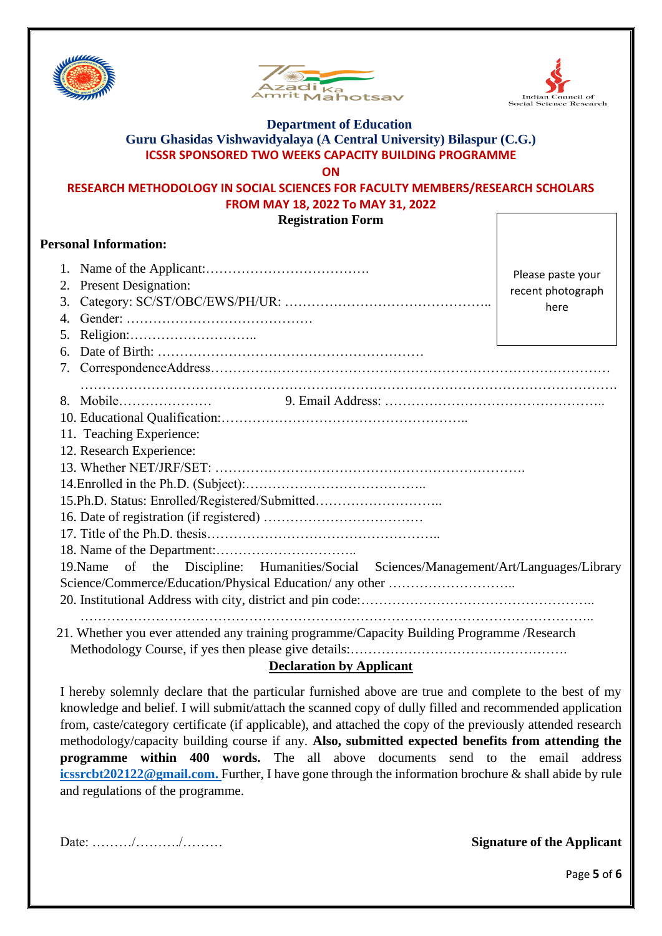





## **Department of Education Guru Ghasidas Vishwavidyalaya (A Central University) Bilaspur (C.G.) ICSSR SPONSORED TWO WEEKS CAPACITY BUILDING PROGRAMME**

**ON**

### **RESEARCH METHODOLOGY IN SOCIAL SCIENCES FOR FACULTY MEMBERS/RESEARCH SCHOLARS FROM MAY 18, 2022 To MAY 31, 2022**

**Registration Form**

### **Personal Information:**

| <b>Present Designation:</b><br>2.                                                       | Please paste your |
|-----------------------------------------------------------------------------------------|-------------------|
| 3.                                                                                      | recent photograph |
|                                                                                         | here              |
| 5.                                                                                      |                   |
| 6.                                                                                      |                   |
|                                                                                         |                   |
|                                                                                         |                   |
|                                                                                         |                   |
|                                                                                         |                   |
| 11. Teaching Experience:                                                                |                   |
| 12. Research Experience:                                                                |                   |
|                                                                                         |                   |
|                                                                                         |                   |
| 15.Ph.D. Status: Enrolled/Registered/Submitted                                          |                   |
|                                                                                         |                   |
|                                                                                         |                   |
|                                                                                         |                   |
| 19. Name of the Discipline: Humanities/Social Sciences/Management/Art/Languages/Library |                   |
|                                                                                         |                   |
|                                                                                         |                   |

### **Declaration by Applicant**

I hereby solemnly declare that the particular furnished above are true and complete to the best of my knowledge and belief. I will submit/attach the scanned copy of dully filled and recommended application from, caste/category certificate (if applicable), and attached the copy of the previously attended research methodology/capacity building course if any. **Also, submitted expected benefits from attending the programme within 400 words.** The all above documents send to the email address **[icssrcbt202122@gmail.com.](mailto:icssrcbt202122@gmail.com)** Further, I have gone through the information brochure & shall abide by rule and regulations of the programme.

Date: ………/………./……… **Signature of the Applicant**

Page **5** of **6**